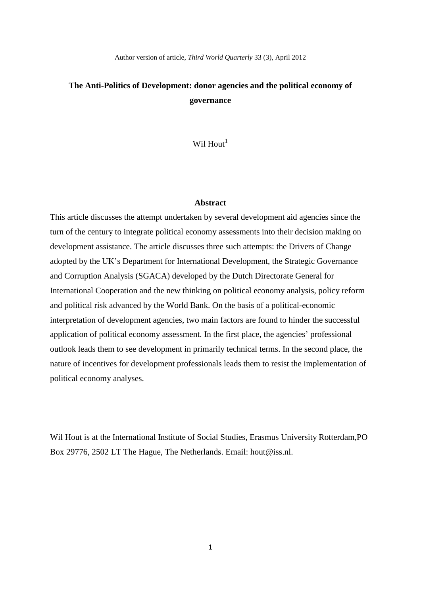# **The Anti-Politics of Development: donor agencies and the political economy of governance**

Wil Hout $<sup>1</sup>$  $<sup>1</sup>$  $<sup>1</sup>$ </sup>

#### **Abstract**

This article discusses the attempt undertaken by several development aid agencies since the turn of the century to integrate political economy assessments into their decision making on development assistance. The article discusses three such attempts: the Drivers of Change adopted by the UK's Department for International Development, the Strategic Governance and Corruption Analysis (SGACA) developed by the Dutch Directorate General for International Cooperation and the new thinking on political economy analysis, policy reform and political risk advanced by the World Bank. On the basis of a political-economic interpretation of development agencies, two main factors are found to hinder the successful application of political economy assessment. In the first place, the agencies' professional outlook leads them to see development in primarily technical terms. In the second place, the nature of incentives for development professionals leads them to resist the implementation of political economy analyses.

Wil Hout is at the International Institute of Social Studies, Erasmus University Rotterdam,PO Box 29776, 2502 LT The Hague, The Netherlands. Email: hout@iss.nl.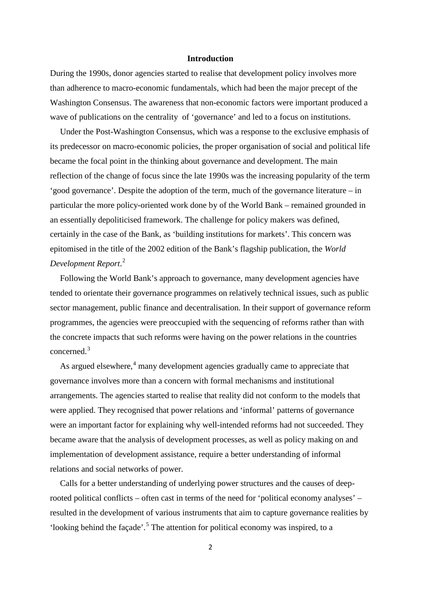## **Introduction**

During the 1990s, donor agencies started to realise that development policy involves more than adherence to macro-economic fundamentals, which had been the major precept of the Washington Consensus. The awareness that non-economic factors were important produced a wave of publications on the centrality of 'governance' and led to a focus on institutions.

Under the Post-Washington Consensus, which was a response to the exclusive emphasis of its predecessor on macro-economic policies, the proper organisation of social and political life became the focal point in the thinking about governance and development. The main reflection of the change of focus since the late 1990s was the increasing popularity of the term 'good governance'. Despite the adoption of the term, much of the governance literature – in particular the more policy-oriented work done by of the World Bank – remained grounded in an essentially depoliticised framework. The challenge for policy makers was defined, certainly in the case of the Bank, as 'building institutions for markets'. This concern was epitomised in the title of the 2002 edition of the Bank's flagship publication, the *World Development Report*. [2](#page-17-0)

Following the World Bank's approach to governance, many development agencies have tended to orientate their governance programmes on relatively technical issues, such as public sector management, public finance and decentralisation. In their support of governance reform programmes, the agencies were preoccupied with the sequencing of reforms rather than with the concrete impacts that such reforms were having on the power relations in the countries concerned.<sup>[3](#page-17-1)</sup>

As argued elsewhere, $4$  many development agencies gradually came to appreciate that governance involves more than a concern with formal mechanisms and institutional arrangements. The agencies started to realise that reality did not conform to the models that were applied. They recognised that power relations and 'informal' patterns of governance were an important factor for explaining why well-intended reforms had not succeeded. They became aware that the analysis of development processes, as well as policy making on and implementation of development assistance, require a better understanding of informal relations and social networks of power.

Calls for a better understanding of underlying power structures and the causes of deeprooted political conflicts – often cast in terms of the need for 'political economy analyses' – resulted in the development of various instruments that aim to capture governance realities by 'looking behind the façade'.<sup>[5](#page-17-3)</sup> The attention for political economy was inspired, to a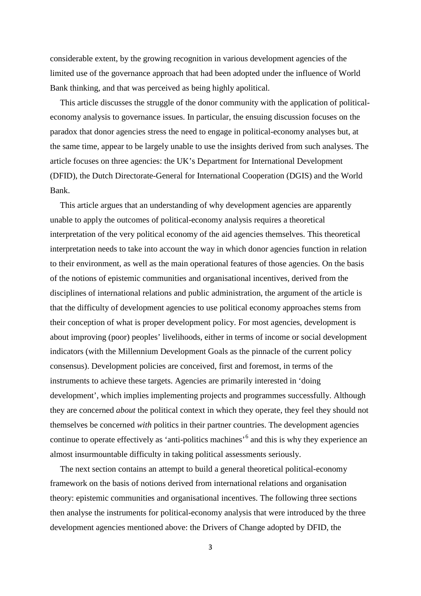considerable extent, by the growing recognition in various development agencies of the limited use of the governance approach that had been adopted under the influence of World Bank thinking, and that was perceived as being highly apolitical.

This article discusses the struggle of the donor community with the application of politicaleconomy analysis to governance issues. In particular, the ensuing discussion focuses on the paradox that donor agencies stress the need to engage in political-economy analyses but, at the same time, appear to be largely unable to use the insights derived from such analyses. The article focuses on three agencies: the UK's Department for International Development (DFID), the Dutch Directorate-General for International Cooperation (DGIS) and the World Bank.

This article argues that an understanding of why development agencies are apparently unable to apply the outcomes of political-economy analysis requires a theoretical interpretation of the very political economy of the aid agencies themselves. This theoretical interpretation needs to take into account the way in which donor agencies function in relation to their environment, as well as the main operational features of those agencies. On the basis of the notions of epistemic communities and organisational incentives, derived from the disciplines of international relations and public administration, the argument of the article is that the difficulty of development agencies to use political economy approaches stems from their conception of what is proper development policy. For most agencies, development is about improving (poor) peoples' livelihoods, either in terms of income or social development indicators (with the Millennium Development Goals as the pinnacle of the current policy consensus). Development policies are conceived, first and foremost, in terms of the instruments to achieve these targets. Agencies are primarily interested in 'doing development', which implies implementing projects and programmes successfully. Although they are concerned *about* the political context in which they operate, they feel they should not themselves be concerned *with* politics in their partner countries. The development agencies continue to operate effectively as 'anti-politics machines'[6](#page-17-4) and this is why they experience an almost insurmountable difficulty in taking political assessments seriously.

The next section contains an attempt to build a general theoretical political-economy framework on the basis of notions derived from international relations and organisation theory: epistemic communities and organisational incentives. The following three sections then analyse the instruments for political-economy analysis that were introduced by the three development agencies mentioned above: the Drivers of Change adopted by DFID, the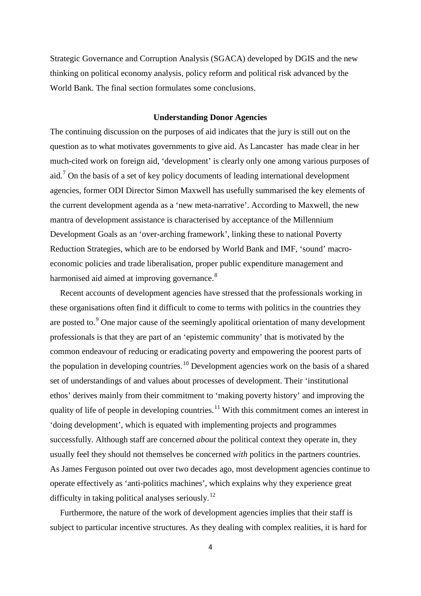Strategic Governance and Corruption Analysis (SGACA) developed by DGIS and the new thinking on political economy analysis, policy reform and political risk advanced by the World Bank. The final section formulates some conclusions.

#### **Understanding Donor Agencies**

The continuing discussion on the purposes of aid indicates that the jury is still out on the question as to what motivates governments to give aid. As Lancaster has made clear in her much-cited work on foreign aid, 'development' is clearly only one among various purposes of aid.<sup>[7](#page-17-5)</sup> On the basis of a set of key policy documents of leading international development agencies, former ODI Director Simon Maxwell has usefully summarised the key elements of the current development agenda as a 'new meta-narrative'. According to Maxwell, the new mantra of development assistance is characterised by acceptance of the Millennium Development Goals as an 'over-arching framework', linking these to national Poverty Reduction Strategies, which are to be endorsed by World Bank and IMF, 'sound' macroeconomic policies and trade liberalisation, proper public expenditure management and harmonised aid aimed at improving governance.<sup>[8](#page-17-6)</sup>

Recent accounts of development agencies have stressed that the professionals working in these organisations often find it difficult to come to terms with politics in the countries they are posted to.<sup>[9](#page-17-7)</sup> One major cause of the seemingly apolitical orientation of many development professionals is that they are part of an 'epistemic community' that is motivated by the common endeavour of reducing or eradicating poverty and empowering the poorest parts of the population in developing countries.<sup>[10](#page-17-8)</sup> Development agencies work on the basis of a shared set of understandings of and values about processes of development. Their 'institutional ethos' derives mainly from their commitment to 'making poverty history' and improving the quality of life of people in developing countries.<sup>[11](#page-17-9)</sup> With this commitment comes an interest in 'doing development', which is equated with implementing projects and programmes successfully. Although staff are concerned *about* the political context they operate in, they usually feel they should not themselves be concerned *with* politics in the partners countries. As James Ferguson pointed out over two decades ago, most development agencies continue to operate effectively as 'anti-politics machines', which explains why they experience great difficulty in taking political analyses seriously.<sup>[12](#page-17-10)</sup>

Furthermore, the nature of the work of development agencies implies that their staff is subject to particular incentive structures. As they dealing with complex realities, it is hard for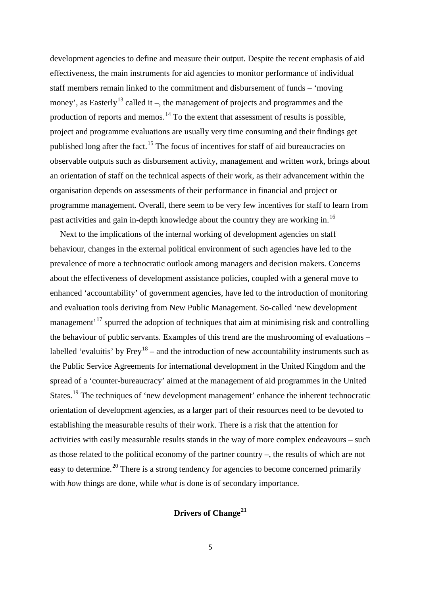development agencies to define and measure their output. Despite the recent emphasis of aid effectiveness, the main instruments for aid agencies to monitor performance of individual staff members remain linked to the commitment and disbursement of funds – 'moving money', as Easterly<sup>[13](#page-17-11)</sup> called it –, the management of projects and programmes and the production of reports and memos.<sup>[14](#page-17-12)</sup> To the extent that assessment of results is possible, project and programme evaluations are usually very time consuming and their findings get published long after the fact.<sup>[15](#page-17-13)</sup> The focus of incentives for staff of aid bureaucracies on observable outputs such as disbursement activity, management and written work, brings about an orientation of staff on the technical aspects of their work, as their advancement within the organisation depends on assessments of their performance in financial and project or programme management. Overall, there seem to be very few incentives for staff to learn from past activities and gain in-depth knowledge about the country they are working in.<sup>[16](#page-17-14)</sup>

Next to the implications of the internal working of development agencies on staff behaviour, changes in the external political environment of such agencies have led to the prevalence of more a technocratic outlook among managers and decision makers. Concerns about the effectiveness of development assistance policies, coupled with a general move to enhanced 'accountability' of government agencies, have led to the introduction of monitoring and evaluation tools deriving from New Public Management. So-called 'new development management<sup>[17](#page-17-15)</sup> spurred the adoption of techniques that aim at minimising risk and controlling the behaviour of public servants. Examples of this trend are the mushrooming of evaluations – labelled 'evaluitis' by  $Frey^{18}$  $Frey^{18}$  $Frey^{18}$  – and the introduction of new accountability instruments such as the Public Service Agreements for international development in the United Kingdom and the spread of a 'counter-bureaucracy' aimed at the management of aid programmes in the United States.<sup>[19](#page-17-17)</sup> The techniques of 'new development management' enhance the inherent technocratic orientation of development agencies, as a larger part of their resources need to be devoted to establishing the measurable results of their work. There is a risk that the attention for activities with easily measurable results stands in the way of more complex endeavours – such as those related to the political economy of the partner country –, the results of which are not easy to determine.<sup>[20](#page-17-18)</sup> There is a strong tendency for agencies to become concerned primarily with *how* things are done, while *what* is done is of secondary importance.

# **Drivers of Change[21](#page-17-19)**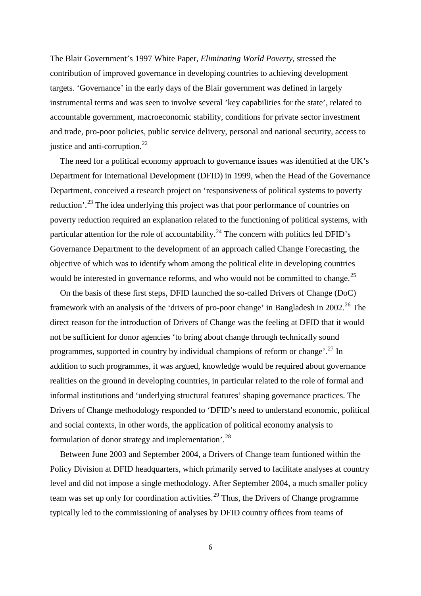The Blair Government's 1997 White Paper, *Eliminating World Poverty*, stressed the contribution of improved governance in developing countries to achieving development targets. 'Governance' in the early days of the Blair government was defined in largely instrumental terms and was seen to involve several 'key capabilities for the state', related to accountable government, macroeconomic stability, conditions for private sector investment and trade, pro-poor policies, public service delivery, personal and national security, access to justice and anti-corruption. $^{22}$  $^{22}$  $^{22}$ 

The need for a political economy approach to governance issues was identified at the UK's Department for International Development (DFID) in 1999, when the Head of the Governance Department, conceived a research project on 'responsiveness of political systems to poverty reduction'.<sup>[23](#page-17-21)</sup> The idea underlying this project was that poor performance of countries on poverty reduction required an explanation related to the functioning of political systems, with particular attention for the role of accountability.<sup>[24](#page-17-22)</sup> The concern with politics led DFID's Governance Department to the development of an approach called Change Forecasting, the objective of which was to identify whom among the political elite in developing countries would be interested in governance reforms, and who would not be committed to change.<sup>[25](#page-18-0)</sup>

On the basis of these first steps, DFID launched the so-called Drivers of Change (DoC) framework with an analysis of the 'drivers of pro-poor change' in Bangladesh in 2002.<sup>[26](#page-18-1)</sup> The direct reason for the introduction of Drivers of Change was the feeling at DFID that it would not be sufficient for donor agencies 'to bring about change through technically sound programmes, supported in country by individual champions of reform or change'.[27](#page-18-2) In addition to such programmes, it was argued, knowledge would be required about governance realities on the ground in developing countries, in particular related to the role of formal and informal institutions and 'underlying structural features' shaping governance practices. The Drivers of Change methodology responded to 'DFID's need to understand economic, political and social contexts, in other words, the application of political economy analysis to formulation of donor strategy and implementation'.<sup>[28](#page-18-3)</sup>

Between June 2003 and September 2004, a Drivers of Change team funtioned within the Policy Division at DFID headquarters, which primarily served to facilitate analyses at country level and did not impose a single methodology. After September 2004, a much smaller policy team was set up only for coordination activities.<sup>[29](#page-18-4)</sup> Thus, the Drivers of Change programme typically led to the commissioning of analyses by DFID country offices from teams of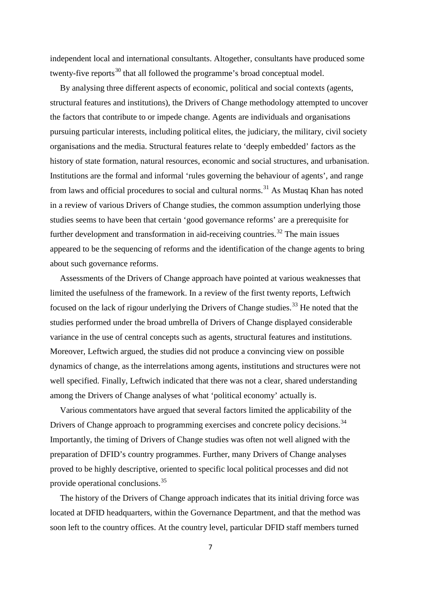independent local and international consultants. Altogether, consultants have produced some twenty-five reports<sup>[30](#page-18-5)</sup> that all followed the programme's broad conceptual model.

By analysing three different aspects of economic, political and social contexts (agents, structural features and institutions), the Drivers of Change methodology attempted to uncover the factors that contribute to or impede change. Agents are individuals and organisations pursuing particular interests, including political elites, the judiciary, the military, civil society organisations and the media. Structural features relate to 'deeply embedded' factors as the history of state formation, natural resources, economic and social structures, and urbanisation. Institutions are the formal and informal 'rules governing the behaviour of agents', and range from laws and official procedures to social and cultural norms.<sup>[31](#page-18-6)</sup> As Mustaq Khan has noted in a review of various Drivers of Change studies, the common assumption underlying those studies seems to have been that certain 'good governance reforms' are a prerequisite for further development and transformation in aid-receiving countries.<sup>[32](#page-18-7)</sup> The main issues appeared to be the sequencing of reforms and the identification of the change agents to bring about such governance reforms.

Assessments of the Drivers of Change approach have pointed at various weaknesses that limited the usefulness of the framework. In a review of the first twenty reports, Leftwich focused on the lack of rigour underlying the Drivers of Change studies.<sup>[33](#page-18-8)</sup> He noted that the studies performed under the broad umbrella of Drivers of Change displayed considerable variance in the use of central concepts such as agents, structural features and institutions. Moreover, Leftwich argued, the studies did not produce a convincing view on possible dynamics of change, as the interrelations among agents, institutions and structures were not well specified. Finally, Leftwich indicated that there was not a clear, shared understanding among the Drivers of Change analyses of what 'political economy' actually is.

Various commentators have argued that several factors limited the applicability of the Drivers of Change approach to programming exercises and concrete policy decisions.<sup>[34](#page-18-9)</sup> Importantly, the timing of Drivers of Change studies was often not well aligned with the preparation of DFID's country programmes. Further, many Drivers of Change analyses proved to be highly descriptive, oriented to specific local political processes and did not provide operational conclusions.<sup>[35](#page-18-10)</sup>

The history of the Drivers of Change approach indicates that its initial driving force was located at DFID headquarters, within the Governance Department, and that the method was soon left to the country offices. At the country level, particular DFID staff members turned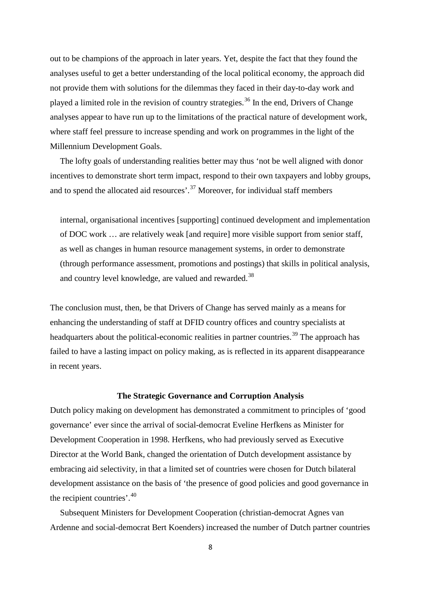out to be champions of the approach in later years. Yet, despite the fact that they found the analyses useful to get a better understanding of the local political economy, the approach did not provide them with solutions for the dilemmas they faced in their day-to-day work and played a limited role in the revision of country strategies.<sup>[36](#page-18-11)</sup> In the end, Drivers of Change analyses appear to have run up to the limitations of the practical nature of development work, where staff feel pressure to increase spending and work on programmes in the light of the Millennium Development Goals.

The lofty goals of understanding realities better may thus 'not be well aligned with donor incentives to demonstrate short term impact, respond to their own taxpayers and lobby groups, and to spend the allocated aid resources'.<sup>[37](#page-18-12)</sup> Moreover, for individual staff members

internal, organisational incentives [supporting] continued development and implementation of DOC work … are relatively weak [and require] more visible support from senior staff, as well as changes in human resource management systems, in order to demonstrate (through performance assessment, promotions and postings) that skills in political analysis, and country level knowledge, are valued and rewarded.<sup>[38](#page-18-13)</sup>

The conclusion must, then, be that Drivers of Change has served mainly as a means for enhancing the understanding of staff at DFID country offices and country specialists at headquarters about the political-economic realities in partner countries.<sup>[39](#page-18-14)</sup> The approach has failed to have a lasting impact on policy making, as is reflected in its apparent disappearance in recent years.

#### **The Strategic Governance and Corruption Analysis**

Dutch policy making on development has demonstrated a commitment to principles of 'good governance' ever since the arrival of social-democrat Eveline Herfkens as Minister for Development Cooperation in 1998. Herfkens, who had previously served as Executive Director at the World Bank, changed the orientation of Dutch development assistance by embracing aid selectivity, in that a limited set of countries were chosen for Dutch bilateral development assistance on the basis of 'the presence of good policies and good governance in the recipient countries'.<sup>[40](#page-18-15)</sup>

Subsequent Ministers for Development Cooperation (christian-democrat Agnes van Ardenne and social-democrat Bert Koenders) increased the number of Dutch partner countries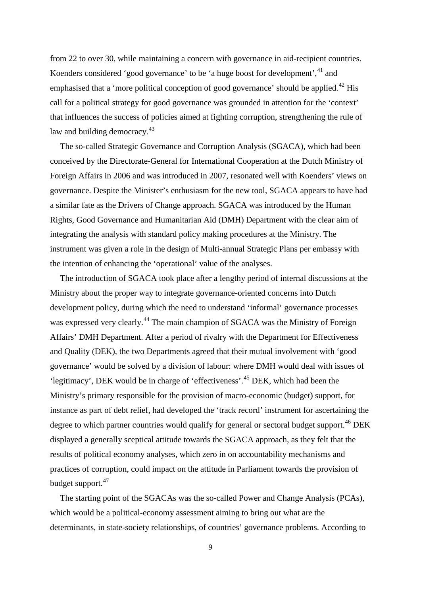from 22 to over 30, while maintaining a concern with governance in aid-recipient countries. Koenders considered 'good governance' to be 'a huge boost for development', <sup>[41](#page-18-16)</sup> and emphasised that a 'more political conception of good governance' should be applied.<sup>[42](#page-18-17)</sup> His call for a political strategy for good governance was grounded in attention for the 'context' that influences the success of policies aimed at fighting corruption, strengthening the rule of law and building democracy.<sup>[43](#page-18-18)</sup>

The so-called Strategic Governance and Corruption Analysis (SGACA), which had been conceived by the Directorate-General for International Cooperation at the Dutch Ministry of Foreign Affairs in 2006 and was introduced in 2007, resonated well with Koenders' views on governance. Despite the Minister's enthusiasm for the new tool, SGACA appears to have had a similar fate as the Drivers of Change approach. SGACA was introduced by the Human Rights, Good Governance and Humanitarian Aid (DMH) Department with the clear aim of integrating the analysis with standard policy making procedures at the Ministry. The instrument was given a role in the design of Multi-annual Strategic Plans per embassy with the intention of enhancing the 'operational' value of the analyses.

The introduction of SGACA took place after a lengthy period of internal discussions at the Ministry about the proper way to integrate governance-oriented concerns into Dutch development policy, during which the need to understand 'informal' governance processes was expressed very clearly.<sup>[44](#page-18-19)</sup> The main champion of SGACA was the Ministry of Foreign Affairs' DMH Department. After a period of rivalry with the Department for Effectiveness and Quality (DEK), the two Departments agreed that their mutual involvement with 'good governance' would be solved by a division of labour: where DMH would deal with issues of 'legitimacy', DEK would be in charge of 'effectiveness'.<sup>[45](#page-18-20)</sup> DEK, which had been the Ministry's primary responsible for the provision of macro-economic (budget) support, for instance as part of debt relief, had developed the 'track record' instrument for ascertaining the degree to which partner countries would qualify for general or sectoral budget support.<sup>[46](#page-18-21)</sup> DEK displayed a generally sceptical attitude towards the SGACA approach, as they felt that the results of political economy analyses, which zero in on accountability mechanisms and practices of corruption, could impact on the attitude in Parliament towards the provision of budget support.<sup>[47](#page-19-0)</sup>

The starting point of the SGACAs was the so-called Power and Change Analysis (PCAs), which would be a political-economy assessment aiming to bring out what are the determinants, in state-society relationships, of countries' governance problems. According to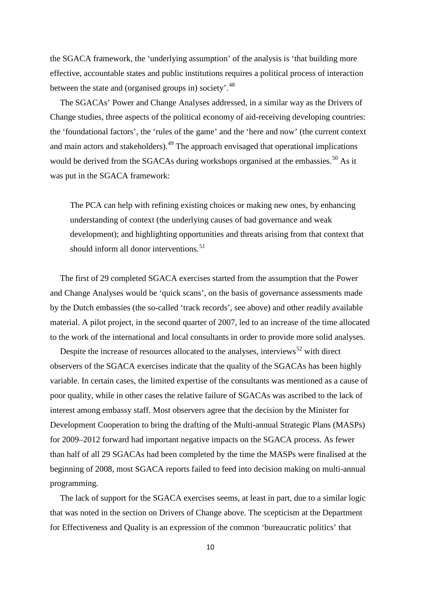the SGACA framework, the 'underlying assumption' of the analysis is 'that building more effective, accountable states and public institutions requires a political process of interaction between the state and (organised groups in) society'.<sup>[48](#page-19-1)</sup>

The SGACAs' Power and Change Analyses addressed, in a similar way as the Drivers of Change studies, three aspects of the political economy of aid-receiving developing countries: the 'foundational factors', the 'rules of the game' and the 'here and now' (the current context and main actors and stakeholders).<sup>[49](#page-19-2)</sup> The approach envisaged that operational implications would be derived from the SGACAs during workshops organised at the embassies.<sup>[50](#page-19-3)</sup> As it was put in the SGACA framework:

The PCA can help with refining existing choices or making new ones, by enhancing understanding of context (the underlying causes of bad governance and weak development); and highlighting opportunities and threats arising from that context that should inform all donor interventions.<sup>[51](#page-19-4)</sup>

The first of 29 completed SGACA exercises started from the assumption that the Power and Change Analyses would be 'quick scans', on the basis of governance assessments made by the Dutch embassies (the so-called 'track records', see above) and other readily available material. A pilot project, in the second quarter of 2007, led to an increase of the time allocated to the work of the international and local consultants in order to provide more solid analyses.

Despite the increase of resources allocated to the analyses, interviews<sup>[52](#page-19-5)</sup> with direct observers of the SGACA exercises indicate that the quality of the SGACAs has been highly variable. In certain cases, the limited expertise of the consultants was mentioned as a cause of poor quality, while in other cases the relative failure of SGACAs was ascribed to the lack of interest among embassy staff. Most observers agree that the decision by the Minister for Development Cooperation to bring the drafting of the Multi-annual Strategic Plans (MASPs) for 2009–2012 forward had important negative impacts on the SGACA process. As fewer than half of all 29 SGACAs had been completed by the time the MASPs were finalised at the beginning of 2008, most SGACA reports failed to feed into decision making on multi-annual programming.

The lack of support for the SGACA exercises seems, at least in part, due to a similar logic that was noted in the section on Drivers of Change above. The scepticism at the Department for Effectiveness and Quality is an expression of the common 'bureaucratic politics' that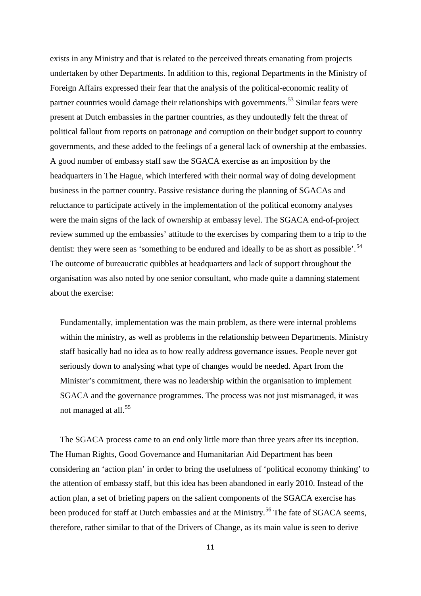exists in any Ministry and that is related to the perceived threats emanating from projects undertaken by other Departments. In addition to this, regional Departments in the Ministry of Foreign Affairs expressed their fear that the analysis of the political-economic reality of partner countries would damage their relationships with governments.<sup>[53](#page-19-6)</sup> Similar fears were present at Dutch embassies in the partner countries, as they undoutedly felt the threat of political fallout from reports on patronage and corruption on their budget support to country governments, and these added to the feelings of a general lack of ownership at the embassies. A good number of embassy staff saw the SGACA exercise as an imposition by the headquarters in The Hague, which interfered with their normal way of doing development business in the partner country. Passive resistance during the planning of SGACAs and reluctance to participate actively in the implementation of the political economy analyses were the main signs of the lack of ownership at embassy level. The SGACA end-of-project review summed up the embassies' attitude to the exercises by comparing them to a trip to the dentist: they were seen as 'something to be endured and ideally to be as short as possible'.<sup>[54](#page-19-7)</sup> The outcome of bureaucratic quibbles at headquarters and lack of support throughout the organisation was also noted by one senior consultant, who made quite a damning statement about the exercise:

Fundamentally, implementation was the main problem, as there were internal problems within the ministry, as well as problems in the relationship between Departments. Ministry staff basically had no idea as to how really address governance issues. People never got seriously down to analysing what type of changes would be needed. Apart from the Minister's commitment, there was no leadership within the organisation to implement SGACA and the governance programmes. The process was not just mismanaged, it was not managed at all.<sup>[55](#page-19-8)</sup>

The SGACA process came to an end only little more than three years after its inception. The Human Rights, Good Governance and Humanitarian Aid Department has been considering an 'action plan' in order to bring the usefulness of 'political economy thinking' to the attention of embassy staff, but this idea has been abandoned in early 2010. Instead of the action plan, a set of briefing papers on the salient components of the SGACA exercise has been produced for staff at Dutch embassies and at the Ministry.<sup>[56](#page-19-9)</sup> The fate of SGACA seems, therefore, rather similar to that of the Drivers of Change, as its main value is seen to derive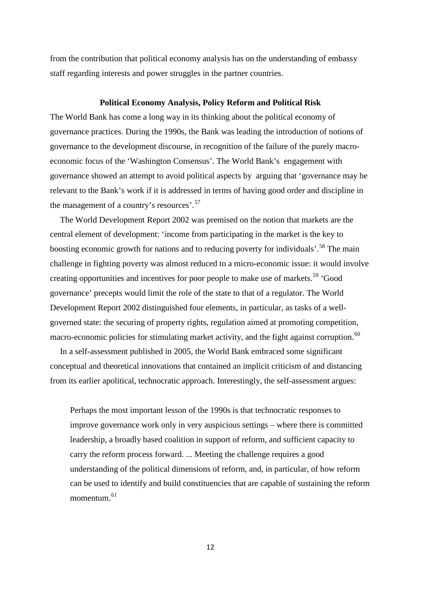from the contribution that political economy analysis has on the understanding of embassy staff regarding interests and power struggles in the partner countries.

#### **Political Economy Analysis, Policy Reform and Political Risk**

The World Bank has come a long way in its thinking about the political economy of governance practices. During the 1990s, the Bank was leading the introduction of notions of governance to the development discourse, in recognition of the failure of the purely macroeconomic focus of the 'Washington Consensus'. The World Bank's engagement with governance showed an attempt to avoid political aspects by arguing that 'governance may be relevant to the Bank's work if it is addressed in terms of having good order and discipline in the management of a country's resources'.<sup>[57](#page-19-10)</sup>

The World Development Report 2002 was premised on the notion that markets are the central element of development: 'income from participating in the market is the key to boosting economic growth for nations and to reducing poverty for individuals'.<sup>[58](#page-19-11)</sup> The main challenge in fighting poverty was almost reduced to a micro-economic issue: it would involve creating opportunities and incentives for poor people to make use of markets.[59](#page-19-12) 'Good governance' precepts would limit the role of the state to that of a regulator. The World Development Report 2002 distinguished four elements, in particular, as tasks of a wellgoverned state: the securing of property rights, regulation aimed at promoting competition, macro-economic policies for stimulating market activity, and the fight against corruption.<sup>[60](#page-19-13)</sup>

In a self-assessment published in 2005, the World Bank embraced some significant conceptual and theoretical innovations that contained an implicit criticism of and distancing from its earlier apolitical, technocratic approach. Interestingly, the self-assessment argues:

Perhaps the most important lesson of the 1990s is that technocratic responses to improve governance work only in very auspicious settings – where there is committed leadership, a broadly based coalition in support of reform, and sufficient capacity to carry the reform process forward. ... Meeting the challenge requires a good understanding of the political dimensions of reform, and, in particular, of how reform can be used to identify and build constituencies that are capable of sustaining the reform momentum.<sup>[61](#page-19-14)</sup>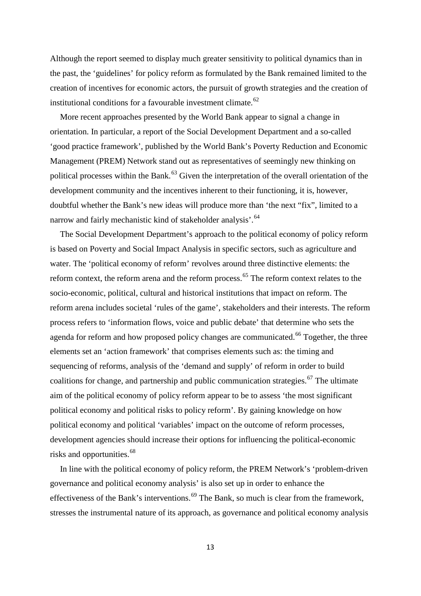Although the report seemed to display much greater sensitivity to political dynamics than in the past, the 'guidelines' for policy reform as formulated by the Bank remained limited to the creation of incentives for economic actors, the pursuit of growth strategies and the creation of institutional conditions for a favourable investment climate. $62$ 

More recent approaches presented by the World Bank appear to signal a change in orientation. In particular, a report of the Social Development Department and a so-called 'good practice framework', published by the World Bank's Poverty Reduction and Economic Management (PREM) Network stand out as representatives of seemingly new thinking on political processes within the Bank.<sup>[63](#page-19-16)</sup> Given the interpretation of the overall orientation of the development community and the incentives inherent to their functioning, it is, however, doubtful whether the Bank's new ideas will produce more than 'the next "fix", limited to a narrow and fairly mechanistic kind of stakeholder analysis'.<sup>[64](#page-19-17)</sup>

The Social Development Department's approach to the political economy of policy reform is based on Poverty and Social Impact Analysis in specific sectors, such as agriculture and water. The 'political economy of reform' revolves around three distinctive elements: the reform context, the reform arena and the reform process.<sup>[65](#page-19-18)</sup> The reform context relates to the socio-economic, political, cultural and historical institutions that impact on reform. The reform arena includes societal 'rules of the game', stakeholders and their interests. The reform process refers to 'information flows, voice and public debate' that determine who sets the agenda for reform and how proposed policy changes are communicated.<sup>[66](#page-19-19)</sup> Together, the three elements set an 'action framework' that comprises elements such as: the timing and sequencing of reforms, analysis of the 'demand and supply' of reform in order to build coalitions for change, and partnership and public communication strategies.<sup>[67](#page-19-20)</sup> The ultimate aim of the political economy of policy reform appear to be to assess 'the most significant political economy and political risks to policy reform'. By gaining knowledge on how political economy and political 'variables' impact on the outcome of reform processes, development agencies should increase their options for influencing the political-economic risks and opportunities.<sup>[68](#page-19-21)</sup>

In line with the political economy of policy reform, the PREM Network's 'problem-driven governance and political economy analysis' is also set up in order to enhance the effectiveness of the Bank's interventions.<sup>[69](#page-19-22)</sup> The Bank, so much is clear from the framework, stresses the instrumental nature of its approach, as governance and political economy analysis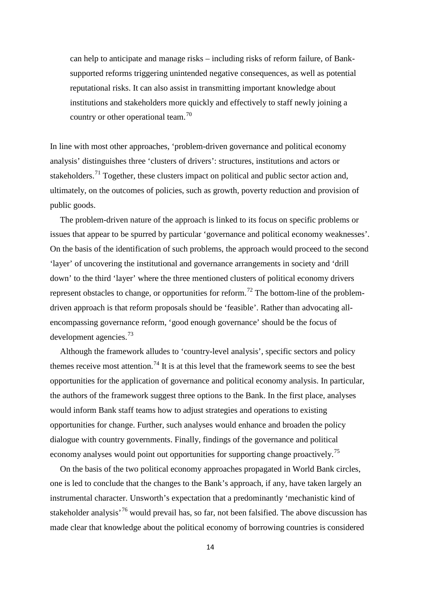can help to anticipate and manage risks – including risks of reform failure, of Banksupported reforms triggering unintended negative consequences, as well as potential reputational risks. It can also assist in transmitting important knowledge about institutions and stakeholders more quickly and effectively to staff newly joining a country or other operational team.[70](#page-19-23)

In line with most other approaches, 'problem-driven governance and political economy analysis' distinguishes three 'clusters of drivers': structures, institutions and actors or stakeholders.<sup>[71](#page-19-24)</sup> Together, these clusters impact on political and public sector action and, ultimately, on the outcomes of policies, such as growth, poverty reduction and provision of public goods.

The problem-driven nature of the approach is linked to its focus on specific problems or issues that appear to be spurred by particular 'governance and political economy weaknesses'. On the basis of the identification of such problems, the approach would proceed to the second 'layer' of uncovering the institutional and governance arrangements in society and 'drill down' to the third 'layer' where the three mentioned clusters of political economy drivers represent obstacles to change, or opportunities for reform.<sup>[72](#page-19-25)</sup> The bottom-line of the problemdriven approach is that reform proposals should be 'feasible'. Rather than advocating allencompassing governance reform, 'good enough governance' should be the focus of development agencies. $^{73}$  $^{73}$  $^{73}$ 

Although the framework alludes to 'country-level analysis', specific sectors and policy themes receive most attention.<sup>[74](#page-19-27)</sup> It is at this level that the framework seems to see the best opportunities for the application of governance and political economy analysis. In particular, the authors of the framework suggest three options to the Bank. In the first place, analyses would inform Bank staff teams how to adjust strategies and operations to existing opportunities for change. Further, such analyses would enhance and broaden the policy dialogue with country governments. Finally, findings of the governance and political economy analyses would point out opportunities for supporting change proactively.<sup>[75](#page-19-28)</sup>

On the basis of the two political economy approaches propagated in World Bank circles, one is led to conclude that the changes to the Bank's approach, if any, have taken largely an instrumental character. Unsworth's expectation that a predominantly 'mechanistic kind of stakeholder analysis<sup>[76](#page-19-29)</sup> would prevail has, so far, not been falsified. The above discussion has made clear that knowledge about the political economy of borrowing countries is considered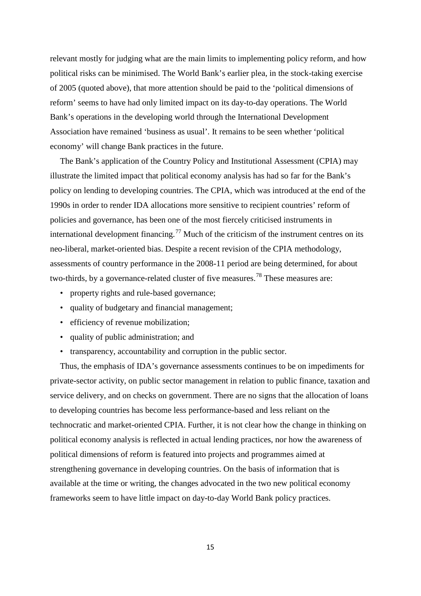relevant mostly for judging what are the main limits to implementing policy reform, and how political risks can be minimised. The World Bank's earlier plea, in the stock-taking exercise of 2005 (quoted above), that more attention should be paid to the 'political dimensions of reform' seems to have had only limited impact on its day-to-day operations. The World Bank's operations in the developing world through the International Development Association have remained 'business as usual'. It remains to be seen whether 'political economy' will change Bank practices in the future.

The Bank's application of the Country Policy and Institutional Assessment (CPIA) may illustrate the limited impact that political economy analysis has had so far for the Bank's policy on lending to developing countries. The CPIA, which was introduced at the end of the 1990s in order to render IDA allocations more sensitive to recipient countries' reform of policies and governance, has been one of the most fiercely criticised instruments in international development financing.<sup>[77](#page-19-30)</sup> Much of the criticism of the instrument centres on its neo-liberal, market-oriented bias. Despite a recent revision of the CPIA methodology, assessments of country performance in the 2008-11 period are being determined, for about two-thirds, by a governance-related cluster of five measures.<sup>[78](#page-19-31)</sup> These measures are:

- property rights and rule-based governance;
- quality of budgetary and financial management;
- efficiency of revenue mobilization;
- quality of public administration; and
- transparency, accountability and corruption in the public sector.

Thus, the emphasis of IDA's governance assessments continues to be on impediments for private-sector activity, on public sector management in relation to public finance, taxation and service delivery, and on checks on government. There are no signs that the allocation of loans to developing countries has become less performance-based and less reliant on the technocratic and market-oriented CPIA. Further, it is not clear how the change in thinking on political economy analysis is reflected in actual lending practices, nor how the awareness of political dimensions of reform is featured into projects and programmes aimed at strengthening governance in developing countries. On the basis of information that is available at the time or writing, the changes advocated in the two new political economy frameworks seem to have little impact on day-to-day World Bank policy practices.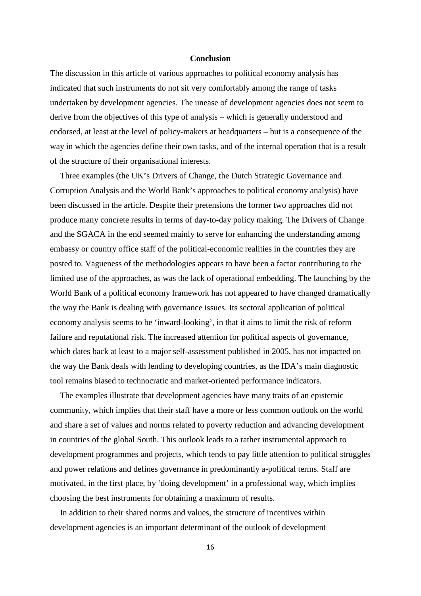## **Conclusion**

The discussion in this article of various approaches to political economy analysis has indicated that such instruments do not sit very comfortably among the range of tasks undertaken by development agencies. The unease of development agencies does not seem to derive from the objectives of this type of analysis – which is generally understood and endorsed, at least at the level of policy-makers at headquarters – but is a consequence of the way in which the agencies define their own tasks, and of the internal operation that is a result of the structure of their organisational interests.

Three examples (the UK's Drivers of Change, the Dutch Strategic Governance and Corruption Analysis and the World Bank's approaches to political economy analysis) have been discussed in the article. Despite their pretensions the former two approaches did not produce many concrete results in terms of day-to-day policy making. The Drivers of Change and the SGACA in the end seemed mainly to serve for enhancing the understanding among embassy or country office staff of the political-economic realities in the countries they are posted to. Vagueness of the methodologies appears to have been a factor contributing to the limited use of the approaches, as was the lack of operational embedding. The launching by the World Bank of a political economy framework has not appeared to have changed dramatically the way the Bank is dealing with governance issues. Its sectoral application of political economy analysis seems to be 'inward-looking', in that it aims to limit the risk of reform failure and reputational risk. The increased attention for political aspects of governance, which dates back at least to a major self-assessment published in 2005, has not impacted on the way the Bank deals with lending to developing countries, as the IDA's main diagnostic tool remains biased to technocratic and market-oriented performance indicators.

The examples illustrate that development agencies have many traits of an epistemic community, which implies that their staff have a more or less common outlook on the world and share a set of values and norms related to poverty reduction and advancing development in countries of the global South. This outlook leads to a rather instrumental approach to development programmes and projects, which tends to pay little attention to political struggles and power relations and defines governance in predominantly a-political terms. Staff are motivated, in the first place, by 'doing development' in a professional way, which implies choosing the best instruments for obtaining a maximum of results.

In addition to their shared norms and values, the structure of incentives within development agencies is an important determinant of the outlook of development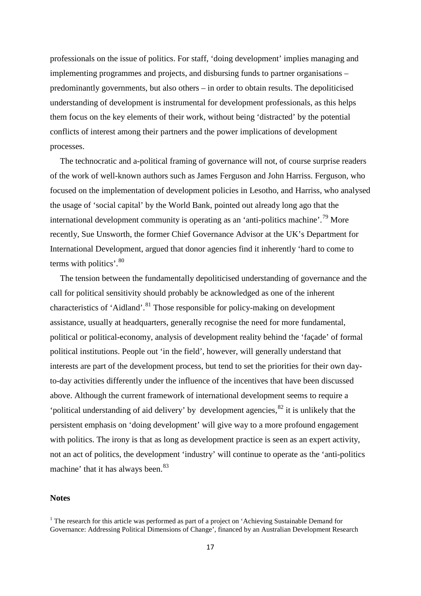professionals on the issue of politics. For staff, 'doing development' implies managing and implementing programmes and projects, and disbursing funds to partner organisations – predominantly governments, but also others – in order to obtain results. The depoliticised understanding of development is instrumental for development professionals, as this helps them focus on the key elements of their work, without being 'distracted' by the potential conflicts of interest among their partners and the power implications of development processes.

The technocratic and a-political framing of governance will not, of course surprise readers of the work of well-known authors such as James Ferguson and John Harriss. Ferguson, who focused on the implementation of development policies in Lesotho, and Harriss, who analysed the usage of 'social capital' by the World Bank, pointed out already long ago that the international development community is operating as an 'anti-politics machine'.<sup>[79](#page-19-32)</sup> More recently, Sue Unsworth, the former Chief Governance Advisor at the UK's Department for International Development, argued that donor agencies find it inherently 'hard to come to terms with politics'.<sup>[80](#page-20-0)</sup>

The tension between the fundamentally depoliticised understanding of governance and the call for political sensitivity should probably be acknowledged as one of the inherent characteristics of 'Aidland'.<sup>[81](#page-20-1)</sup> Those responsible for policy-making on development assistance, usually at headquarters, generally recognise the need for more fundamental, political or political-economy, analysis of development reality behind the 'façade' of formal political institutions. People out 'in the field', however, will generally understand that interests are part of the development process, but tend to set the priorities for their own dayto-day activities differently under the influence of the incentives that have been discussed above. Although the current framework of international development seems to require a 'political understanding of aid delivery' by development agencies,<sup>[82](#page-20-2)</sup> it is unlikely that the persistent emphasis on 'doing development' will give way to a more profound engagement with politics. The irony is that as long as development practice is seen as an expert activity, not an act of politics, the development 'industry' will continue to operate as the 'anti-politics machine' that it has always been.<sup>[83](#page-20-3)</sup>

#### **Notes**

<span id="page-16-0"></span><sup>&</sup>lt;sup>1</sup> The research for this article was performed as part of a project on 'Achieving Sustainable Demand for Governance: Addressing Political Dimensions of Change', financed by an Australian Development Research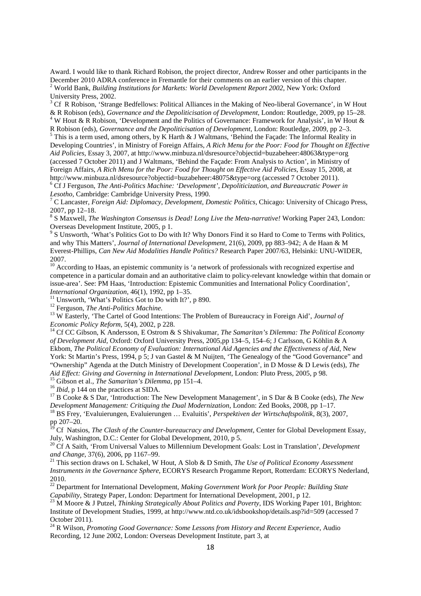Award. I would like to thank Richard Robison, the project director, Andrew Rosser and other participants in the December 2010 ADRA conference in Fremantle for their comments on an earlier version of this chapter. <sup>2</sup> World Bank, *Building Institutions for Markets: World Development Report 2002*, New York: Oxford University Press, 2002.

<span id="page-17-1"></span><span id="page-17-0"></span><sup>3</sup> Cf R Robison, 'Strange Bedfellows: Political Alliances in the Making of Neo-liberal Governance', in W Hout & R Robison (eds), *Governance and the Depoliticisation of Development*, London: Routledge, 2009, pp 15–28. <sup>4</sup> W Hout & R Robison, 'Development and the Politics of Governance: Framework for Analysis', in W Hout & R Robison (eds), *Governance and the Depoliticisation of Development*. London: Routledge, 2009, pp 2–3.

<span id="page-17-3"></span><span id="page-17-2"></span><sup>5</sup> This is a term used, among others, by K Harth & J Waltmans, 'Behind the Facade: The Informal Reality in Developing Countries', in Ministry of Foreign Affairs, *A Rich Menu for the Poor: Food for Thought on Effective Aid Policies*, Essay 3, 2007, at http://www.minbuza.nl/dsresource?objectid=buzabeheer:48063&type=org (accessed 7 October 2011) and J Waltmans, 'Behind the Façade: From Analysis to Action', in Ministry of Foreign Affairs, *A Rich Menu for the Poor: Food for Thought on Effective Aid Policies*, Essay 15, 2008, at http://www.minbuza.nl/dsresource?objectid=buzabeheer:48075&type=org (accessed 7 October 2011).

<span id="page-17-4"></span><sup>6</sup> Cf J Ferguson, *The Anti-Politics Machine: 'Development'*, *Depoliticization, and Bureaucratic Power in Lesotho*, Cambridge: Cambridge University Press, 1990.

<span id="page-17-5"></span><sup>7</sup> C Lancaster, *Foreign Aid: Diplomacy, Development, Domestic Politics*, Chicago: University of Chicago Press,

<span id="page-17-6"></span>2007, pp 12–18.<br><sup>8</sup> S Maxwell, *The Washington Consensus is Dead! Long Live the Meta-narrative!* Working Paper 243, London:<br>Overseas Development Institute. 2005. p 1.

<span id="page-17-7"></span><sup>9</sup> S Unsworth, 'What's Politics Got to Do with It? Why Donors Find it so Hard to Come to Terms with Politics, and why This Matters', *Journal of International Development*, 21(6), 2009, pp 883–942; A de Haan & M Everest-Phillips, *Can New Aid Modalities Handle Politics?* Research Paper 2007/63, Helsinki: UNU-WIDER, 2007.<br><sup>10</sup> According to Haas, an epistemic community is 'a network of professionals with recognized expertise and

<span id="page-17-8"></span>competence in a particular domain and an authoritative claim to policy-relevant knowledge within that domain or issue-area'. See: PM Haas, 'Introduction: Epistemic Communities and International Policy Coordination',

<span id="page-17-11"></span><span id="page-17-10"></span>

<span id="page-17-9"></span>International Organization, 46(1), 1992, pp 1–35.<br><sup>11</sup> Unsworth, 'What's Politics Got to Do with It?', p 890.<br><sup>12</sup> Ferguson, *The Anti-Politics Machine*.<br><sup>13</sup> W Easterly, 'The Cartel of Good Intentions: The Problem of Bure

<span id="page-17-12"></span><sup>14</sup> Cf CC Gibson, K Andersson, E Ostrom & S Shivakumar, *The Samaritan's Dilemma: The Political Economy of Development Aid*, Oxford: Oxford University Press, 2005,pp 134–5, 154–6; J Carlsson, G Köhlin & A Ekbom, *The Political Economy of Evaluation: International Aid Agencies and the Effectiveness of Aid*, New York: St Martin's Press, 1994, p 5; J van Gastel & M Nuijten, 'The Genealogy of the "Good Governance" and "Ownership" Agenda at the Dutch Ministry of Development Cooperation', in D Mosse & D Lewis (eds), *The*  Aid Effect: Giving and Governing in International Development, London: Pluto Press, 2005, p 98.<br><sup>15</sup> Gibson et al., *The Samaritan's Dilemma*, pp 151–4.<br><sup>16</sup> Ibid, p 144 on the practices at SIDA.<br><sup>17</sup> B Cooke & S Dar, 'Int

<span id="page-17-13"></span>

<span id="page-17-14"></span>

<span id="page-17-15"></span>*Development Management: Critiquing the Dual Modernization*, London: Zed Books, 2008, pp 1–17.<br><sup>18</sup> BS Frey, 'Evaluierungen, Evaluierungen … Evaluitis', *Perspektiven der Wirtschaftspolitik*, 8(3), 2007,

<span id="page-17-16"></span>pp 207–20.

<span id="page-17-17"></span><sup>19</sup> Cf Natsios, *The Clash of the Counter-bureaucracy and Development*, Center for Global Development Essay, July, Washington, D.C.: Center for Global Development, 2010, p 5.

<span id="page-17-18"></span><sup>20</sup> Cf A Saith, 'From Universal Values to Millennium Development Goals: Lost in Translation', *Development and Change*, 37(6), 2006, pp 1167–99. <sup>21</sup> This section draws on L Schakel, W Hout, A Slob & D Smith, *The Use of Political Economy Assessment* 

<span id="page-17-19"></span>*Instruments in the Governance Sphere*, ECORYS Research Progamme Report, Rotterdam: ECORYS Nederland,

<span id="page-17-20"></span>2010.<br><sup>22</sup> Department for International Development, *Making Government Work for Poor People: Building State Capability, Strategy Paper, London: Department for International Development, 2001, p 12.* 

<span id="page-17-21"></span><sup>23</sup> M Moore & J Putzel, *Thinking Strategically About Politics and Poverty*, IDS Working Paper 101, Brighton: Institute of Development Studies, 1999, at http://www.ntd.co.uk/idsbookshop/details.asp?id=509 (accessed 7

<span id="page-17-22"></span><sup>24</sup> R Wilson, *Promoting Good Governance: Some Lessons from History and Recent Experience*, Audio Recording, 12 June 2002, London: Overseas Development Institute, part 3, at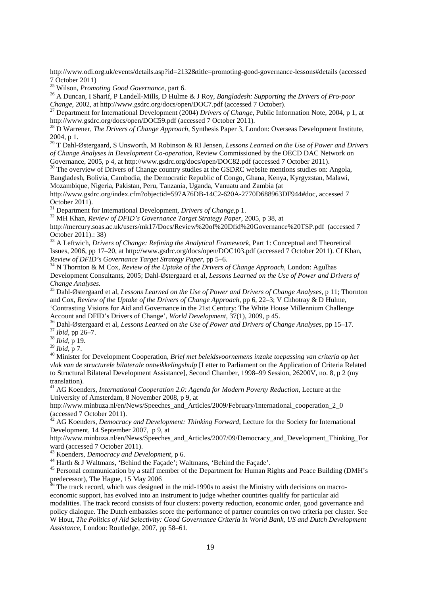http://www.odi.org.uk/events/details.asp?id=2132&title=promoting-good-governance-lessons#details (accessed 7 October 2011)<br><sup>25</sup> Wilson, *Promoting Good Governance*, part 6.

<span id="page-18-1"></span><span id="page-18-0"></span><sup>26</sup> A Duncan, *I Sharif, P Landell-Mills, D Hulme & J Roy, <i>Bangladesh: Supporting the Drivers of Pro-poor Change,* 2002, at http://www.gsdrc.org/docs/open/DOC7.pdf (accessed 7 October).

<span id="page-18-2"></span><sup>27</sup> Department for International Development (2004) *Drivers of Change*, Public Information Note, 2004, p 1, at http://www.gsdrc.org/docs/open/DOC59.pdf (accessed 7 October 2011).

<span id="page-18-3"></span><sup>28</sup> D Warrener, *The Drivers of Change Approach*, Synthesis Paper 3, London: Overseas Development Institute,

<span id="page-18-4"></span>2004, p 1. <sup>29</sup> T Dahl-Østergaard, S Unsworth, M Robinson & RI Jensen, *Lessons Learned on the Use of Power and Drivers of Change Analyses in Development Co-operation*, Review Commissioned by the OECD DAC Network on Governance, 2005, p 4, at http://www.gsdrc.org/docs/open/DOC82.pdf (accessed 7 October 2011).

<span id="page-18-5"></span> $\frac{30}{30}$  The overview of Drivers of Change country studies at the GSDRC website mentions studies on: Angola, Bangladesh, Bolivia, Cambodia, the Democratic Republic of Congo, Ghana, Kenya, Kyrgyzstan, Malawi, Mozambique, Nigeria, Pakistan, Peru, Tanzania, Uganda, Vanuatu and Zambia (at

http://www.gsdrc.org/index.cfm?objectid=597A76DB-14C2-620A-2770D688963DF944#doc, accessed 7 October 2011). <sup>31</sup> Department for International Development, *Drivers of Change*,p 1. <sup>32</sup> MH Khan, *Review of DFID's Governance Target Strategy Paper*, 2005, p 38, at

<span id="page-18-6"></span>

<span id="page-18-7"></span>http://mercury.soas.ac.uk/users/mk17/Docs/Review%20of%20Dfid%20Governance%20TSP.pdf (accessed 7 October 2011).: 38)<br><sup>33</sup> A Leftwich, *Drivers of Change: Refining the Analytical Framework*, Part 1: Conceptual and Theoretical

<span id="page-18-8"></span>Issues, 2006, pp 17–20, at http://www.gsdrc.org/docs/open/DOC103.pdf (accessed 7 October 2011). Cf Khan,

<span id="page-18-9"></span><sup>34</sup> N Thornton & M Cox, *Review of the Uptake of the Drivers of Change Approach*, London: Agulhas Development Consultants, 2005; Dahl-Østergaard et al, *Lessons Learned on the Use of Power and Drivers of* 

<span id="page-18-10"></span>*Change Analyses.* <sup>35</sup> Dahl-Østergaard et al, *Lessons Learned on the Use of Power and Drivers of Change Analyses*, p 11; Thornton and Cox, *Review of the Uptake of the Drivers of Change Approach*, pp 6, 22–3; V Chhotray & D Hulme, 'Contrasting Visions for Aid and Governance in the 21st Century: The White House Millennium Challenge

<span id="page-18-11"></span>Account and DFID's Drivers of Change', World Development, 37(1), 2009, p 45.<br><sup>36</sup> Dahl-Østergaard et al, *Lessons Learned on the Use of Power and Drivers of Change Analyses*, pp 15–17.<br><sup>37</sup> Ibid, pp 26–7.<br><sup>38</sup> Ibid, p 19.

<span id="page-18-13"></span><span id="page-18-12"></span>

<span id="page-18-15"></span><span id="page-18-14"></span><sup>40</sup> Minister for Development Cooperation, *Brief met beleidsvoornemens inzake toepassing van criteria op het vlak van de structurele bilaterale ontwikkelingshulp* [Letter to Parliament on the Application of Criteria Related to Structural Bilateral Development Assistance], Second Chamber, 1998–99 Session, 26200V, no. 8, p 2 (my

<span id="page-18-16"></span>translation). <sup>41</sup> AG Koenders, *International Cooperation 2.0: Agenda for Modern Poverty Reduction*, Lecture at the University of Amsterdam, 8 November 2008, p 9, at

http://www.minbuza.nl/en/News/Speeches\_and\_Articles/2009/February/International\_cooperation\_2\_0 (accessed 7 October 2011).

<span id="page-18-17"></span> $^{2}$  AG Koenders, *Democracy and Development: Thinking Forward*, Lecture for the Society for International Development, 14 September 2007, p 9, at

http://www.minbuza.nl/en/News/Speeches\_and\_Articles/2007/09/Democracy\_and\_Development\_Thinking\_For

<span id="page-18-20"></span>

<span id="page-18-19"></span><span id="page-18-18"></span><sup>43</sup> Koenders, *Democracy and Development*, p 6.<br><sup>44</sup> Harth & J Waltmans, 'Behind the Façade'; Waltmans, 'Behind the Façade'.<br><sup>45</sup> Personal communication by a staff member of the Department for Human Rights and Peace Buil predecessor), The Hague, 15 May 2006

<span id="page-18-21"></span><sup>46</sup> The track record, which was designed in the mid-1990s to assist the Ministry with decisions on macroeconomic support, has evolved into an instrument to judge whether countries qualify for particular aid

modalities. The track record consists of four clusters: poverty reduction, economic order, good governance and policy dialogue. The Dutch embassies score the performance of partner countries on two criteria per cluster. See W Hout, *The Politics of Aid Selectivity: Good Governance Criteria in World Bank, US and Dutch Development Assistance*, London: Routledge, 2007, pp 58–61.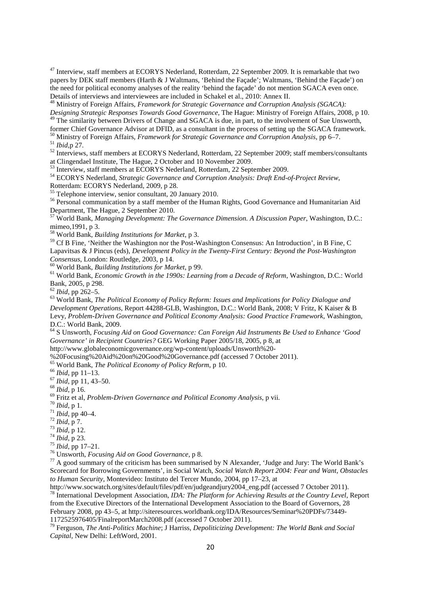<span id="page-19-0"></span><sup>47</sup> Interview, staff members at ECORYS Nederland, Rotterdam, 22 September 2009. It is remarkable that two papers by DEK staff members (Harth & J Waltmans, 'Behind the Façade'; Waltmans, 'Behind the Façade') on the need for political economy analyses of the reality 'behind the façade' do not mention SGACA even once. Details of interviews and interviewees are included in Schakel et al., 2010: Annex II.

<span id="page-19-1"></span><sup>48</sup> Ministry of Foreign Affairs, *Framework for Strategic Governance and Corruption Analysis (SGACA):*<br>*Designing Strategic Responses Towards Good Governance*, The Hague: Ministry of Foreign Affairs, 2008, p 10. <sup>49</sup> The similarity between Drivers of Change and SGACA is due, in part, to the involvement of Sue Unsworth,

<span id="page-19-3"></span><span id="page-19-2"></span>former Chief Governance Advisor at DFID, as a consultant in the process of setting up the SGACA framework.<br><sup>50</sup> Ministry of Foreign Affairs, *Framework for Strategic Governance and Corruption Analysis*, pp 6–7.  $^{51}$  Ibid, p 27.<br> $^{52}$  Interviews, staff members at ECORYS Nederland. Rotterdam. 22 September 2009: staff members/consultants

<span id="page-19-5"></span><span id="page-19-4"></span>at Clingendael Institute, The Hague, 2 October and 10 November 2009.<br><sup>53</sup> Interview, staff members at ECORYS Nederland, Rotterdam, 22 September 2009.

<span id="page-19-7"></span><span id="page-19-6"></span><sup>54</sup> ECORYS Nederland, *Strategic Governance and Corruption Analysis: Draft End-of-Project Review*, Rotterdam: ECORYS Nederland, 2009, p 28.<br><sup>55</sup> Telephone interview, senior consultant, 20 January 2010.

<span id="page-19-9"></span><span id="page-19-8"></span><sup>56</sup> Personal communication by a staff member of the Human Rights, Good Governance and Humanitarian Aid Department, The Hague, 2 September 2010.

<span id="page-19-10"></span><sup>57</sup> World Bank, *Managing Development: The Governance Dimension. A Discussion Paper*, Washington, D.C.: mimeo,1991, p 3.<br><sup>58</sup> World Bank, *Building Institutions for Market*, p 3.<br><sup>59</sup> Cf B Fine, 'Neither the Washington nor the Post-Washington Consensus: An Introduction', in B Fine, C

<span id="page-19-12"></span><span id="page-19-11"></span>Lapavitsas & J Pincus (eds), *Development Policy in the Twenty-First Century: Beyond the Post-Washington* 

<span id="page-19-14"></span><span id="page-19-13"></span><sup>60</sup> World Bank, *Building Institutions for Market*, p 99.<br><sup>61</sup> World Bank, *Economic Growth in the 1990s: Learning from a Decade of Reform*, Washington, D.C.: World Bank, 2005, p 298.

<span id="page-19-16"></span><span id="page-19-15"></span><sup>62</sup> *Ibid*, pp 262–5.<br><sup>63</sup> World Bank, *The Political Economy of Policy Reform: Issues and Implications for Policy Dialogue and Development Operations*, Report 44288-GLB, Washington, D.C.: World Bank, 2008; V Fritz, K Kaiser & B Levy, *Problem-Driven Governance and Political Economy Analysis: Good Practice Framework*, Washington,

<span id="page-19-17"></span><sup>64</sup> S Unsworth, *Focusing Aid on Good Governance: Can Foreign Aid Instruments Be Used to Enhance 'Good Governance' in Recipient Countries?* GEG Working Paper 2005/18, 2005, p 8, at

http://www.globaleconomicgovernance.org/wp-content/uploads/Unsworth%20-<br>%20Focusing%20Aid%20on%20Good%20Governance.pdf (accessed 7 October 2011).

<span id="page-19-19"></span>

<span id="page-19-20"></span>

<span id="page-19-22"></span><span id="page-19-21"></span>

<span id="page-19-23"></span>

<span id="page-19-24"></span>

<span id="page-19-25"></span>

<span id="page-19-26"></span>

<span id="page-19-27"></span>

<span id="page-19-28"></span>

<span id="page-19-30"></span><span id="page-19-29"></span>

<span id="page-19-18"></span>%20Focusing%20Aid%20on%20Good%20Governance.pdf (accessed 7 October 2011).<br>
<sup>66</sup> World Bank, *The Political Economy of Policy Reform*, p 10.<br>
<sup>66</sup> *Ibid*, pp 11-13.<br>
<sup>67</sup> *Ibid*, pp 11, 43–50.<br>
<sup>68</sup> *Ibid*, p 11, 43–50.<br>
<sup>6</sup> Scorecard for Borrowing Governments', in Social Watch, *Social Watch Report 2004: Fear and Want, Obstacles to Human Security*, Montevideo: Instituto del Tercer Mundo, 2004, pp 17–23, at http://www.socwatch.org/sites/default/files/pdf/en/judgeandjury2004\_eng.pdf (accessed 7 October 2011).

<span id="page-19-31"></span><sup>78</sup> International Development Association, *IDA: The Platform for Achieving Results at the Country Level*, Report from the Executive Directors of the International Development Association to the Board of Governors, 28 February 2008, pp 43–5, at http://siteresources.worldbank.org/IDA/Resources/Seminar%20PDFs/73449-<br>1172525976405/FinalreportMarch2008.pdf (accessed 7 October 2011).

<span id="page-19-32"></span><sup>79</sup> Ferguson, *The Anti-Politics Machine*; J Harriss, *Depoliticizing Development: The World Bank and Social Capital*, New Delhi: LeftWord, 2001.